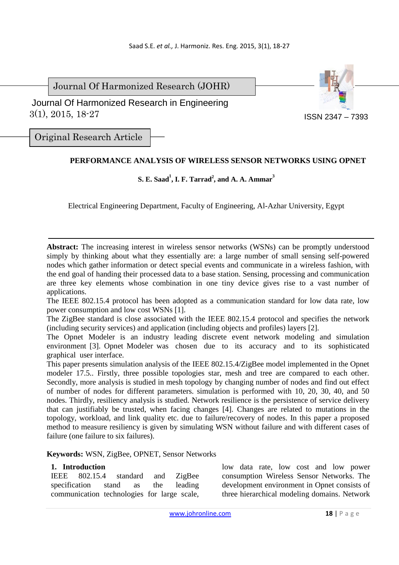Journal Of Harmonized Research (JOHR)

 3(1), 2015, 18-27 Journal Of Harmonized Research in Engineering



Original Research Article

## **PERFORMANCE ANALYSIS OF WIRELESS SENSOR NETWORKS USING OPNET**

**S. E. Saad<sup>1</sup> , I. F. Tarrad<sup>2</sup> , and A. A. Ammar<sup>3</sup>** 

Electrical Engineering Department, Faculty of Engineering, Al-Azhar University, Egypt

Abstract: The increasing interest in wireless sensor networks (WSNs) can be promptly understood simply by thinking about what they essentially are: a large number of small sensing self-powered nodes which gather information or detect special events and communicate in a wireless fashion, with the end goal of handing their processed data to a base station. Sensing, processing and communication are three key elements whose combination in one tiny device gives rise to a vast number of applications.

The IEEE 802.15.4 protocol has been adopted as a communication standard for low data rate, low power consumption and low cost WSNs [1].

The ZigBee standard is close associated with the IEEE 802.15.4 protocol and specifies the network (including security services) and application (including objects and profiles) layers [2].

The Opnet Modeler is an industry leading discrete event network modeling and simulation environment [3]. Opnet Modeler was chosen due to its accuracy and to its sophisticated graphical user interface.

This paper presents simulation analysis of the IEEE 802.15.4/ZigBee model implemented in the Opnet modeler 17.5.. Firstly, three possible topologies star, mesh and tree are compared to each other. Secondly, more analysis is studied in mesh topology by changing number of nodes and find out effect of number of nodes for different parameters. simulation is performed with 10, 20, 30, 40, and 50 nodes. Thirdly, resiliency analysis is studied. Network resilience is the persistence of service delivery that can justifiably be trusted, when facing changes [4]. Changes are related to mutations in the topology, workload, and link quality etc. due to failure/recovery of nodes. In this paper a proposed method to measure resiliency is given by simulating WSN without failure and with different cases of failure (one failure to six failures).

**Keywords:** WSN, ZigBee, OPNET, Sensor Networks

#### **1. Introduction**

IEEE 802.15.4 standard and ZigBee specification stand as the leading communication technologies for large scale, low data rate, low cost and low power consumption Wireless Sensor Networks. The development environment in Opnet consists of three hierarchical modeling domains. Network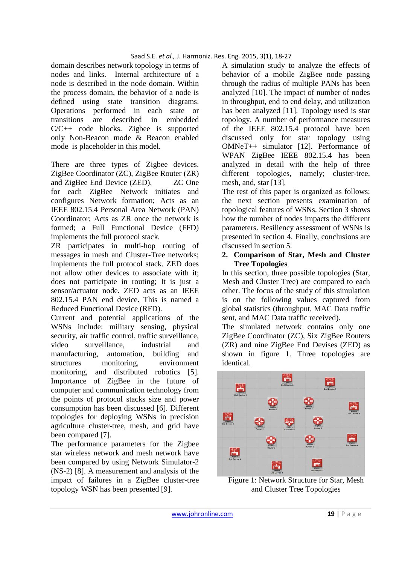domain describes network topology in terms of nodes and links. Internal architecture of a node is described in the node domain. Within the process domain, the behavior of a node is defined using state transition diagrams. Operations performed in each state or transitions are described in embedded C/C++ code blocks. Zigbee is supported only Non-Beacon mode & Beacon enabled mode is placeholder in this model.

There are three types of Zigbee devices. ZigBee Coordinator (ZC), ZigBee Router (ZR) and ZigBee End Device (ZED). ZC One for each ZigBee Network initiates and configures Network formation; Acts as an IEEE 802.15.4 Personal Area Network (PAN) Coordinator; Acts as ZR once the network is formed; a Full Functional Device (FFD) implements the full protocol stack.

ZR participates in multi-hop routing of messages in mesh and Cluster-Tree networks; implements the full protocol stack. ZED does not allow other devices to associate with it; does not participate in routing; It is just a sensor/actuator node. ZED acts as an IEEE 802.15.4 PAN end device. This is named a Reduced Functional Device (RFD).

Current and potential applications of the WSNs include: military sensing, physical security, air traffic control, traffic surveillance, video surveillance, industrial and manufacturing, automation, building and structures monitoring, environment monitoring, and distributed robotics [5]. Importance of ZigBee in the future of computer and communication technology from the points of protocol stacks size and power consumption has been discussed [6]. Different topologies for deploying WSNs in precision agriculture cluster-tree, mesh, and grid have been compared [7].

The performance parameters for the Zigbee star wireless network and mesh network have been compared by using Network Simulator-2 (NS-2) [8]. A measurement and analysis of the impact of failures in a ZigBee cluster-tree topology WSN has been presented [9].

A simulation study to analyze the effects of behavior of a mobile ZigBee node passing through the radius of multiple PANs has been analyzed [10]. The impact of number of nodes in throughput, end to end delay, and utilization has been analyzed [11]. Topology used is star topology. A number of performance measures of the IEEE 802.15.4 protocol have been discussed only for star topology using OMNeT++ simulator [12]. Performance of WPAN ZigBee IEEE 802.15.4 has been analyzed in detail with the help of three different topologies, namely; cluster-tree, mesh, and, star [13].

The rest of this paper is organized as follows; the next section presents examination of topological features of WSNs. Section 3 shows how the number of nodes impacts the different parameters. Resiliency assessment of WSNs is presented in section 4. Finally, conclusions are discussed in section 5.

### **2. Comparison of Star, Mesh and Cluster Tree Topologies**

In this section, three possible topologies (Star, Mesh and Cluster Tree) are compared to each other. The focus of the study of this simulation is on the following values captured from global statistics (throughput, MAC Data traffic sent, and MAC Data traffic received).

The simulated network contains only one ZigBee Coordinator (ZC), Six ZigBee Routers (ZR) and nine ZigBee End Devises (ZED) as shown in figure 1. Three topologies are identical.



Figure 1: Network Structure for Star, Mesh and Cluster Tree Topologies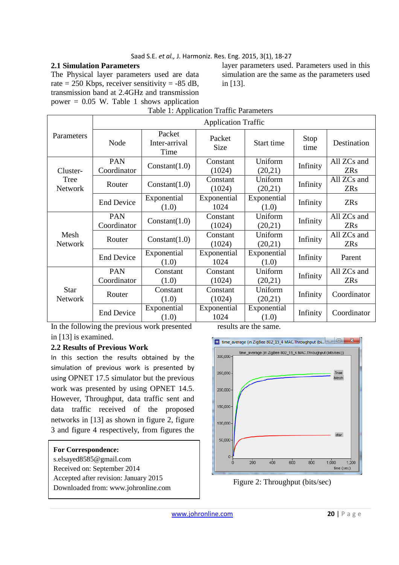### **2.1 Simulation Parameters**

The Physical layer parameters used are data rate = 250 Kbps, receiver sensitivity =  $-85$  dB, transmission band at 2.4GHz and transmission power =  $0.05$  W. Table 1 shows application layer parameters used. Parameters used in this simulation are the same as the parameters used in [13].

|                               | <b>Application Traffic</b> |                                 |                       |                      |                     |                           |  |
|-------------------------------|----------------------------|---------------------------------|-----------------------|----------------------|---------------------|---------------------------|--|
| Parameters                    | Node                       | Packet<br>Inter-arrival<br>Time | Packet<br><b>Size</b> | Start time           | <b>Stop</b><br>time | Destination               |  |
| Cluster-                      | <b>PAN</b><br>Coordinator  | Constant(1.0)                   | Constant<br>(1024)    | Uniform<br>(20,21)   | Infinity            | All ZCs and<br><b>ZRs</b> |  |
| Tree<br><b>Network</b>        | Router                     | Constant(1.0)                   | Constant<br>(1024)    | Uniform<br>(20,21)   | Infinity            | All ZCs and<br><b>ZRs</b> |  |
|                               | <b>End Device</b>          | Exponential<br>(1.0)            | Exponential<br>1024   | Exponential<br>(1.0) | Infinity            | <b>ZRs</b>                |  |
| Mesh<br><b>Network</b>        | <b>PAN</b><br>Coordinator  | Constant(1.0)                   | Constant<br>(1024)    | Uniform<br>(20,21)   | Infinity            | All ZCs and<br><b>ZRs</b> |  |
|                               | Router                     | Constant(1.0)                   | Constant<br>(1024)    | Uniform<br>(20,21)   | Infinity            | All ZCs and<br><b>ZRs</b> |  |
|                               | <b>End Device</b>          | Exponential<br>(1.0)            | Exponential<br>1024   | Exponential<br>(1.0) | Infinity            | Parent                    |  |
|                               | PAN<br>Coordinator         | Constant<br>(1.0)               | Constant<br>(1024)    | Uniform<br>(20,21)   | Infinity            | All ZCs and<br><b>ZRs</b> |  |
| <b>Star</b><br><b>Network</b> | Router                     | Constant<br>(1.0)               | Constant<br>(1024)    | Uniform<br>(20,21)   | Infinity            | Coordinator               |  |
|                               | <b>End Device</b>          | Exponential<br>(1.0)            | Exponential<br>1024   | Exponential<br>(1.0) | Infinity            | Coordinator               |  |

|  | Table 1: Application Traffic Parameters |  |
|--|-----------------------------------------|--|

In the following the previous work presented in [13] is examined.

#### **2.2 Results of Previous Work**

In this section the results obtained by the simulation of previous work is presented by using OPNET 17.5 simulator but the previous work was presented by using OPNET 14.5. However, Throughput, data traffic sent and data traffic received of the proposed networks in [13] as shown in figure 2, figure 3 and figure 4 respectively, from figures the

#### **For Correspondence:**

s.elsayed8585@gmail.com Received on: September 2014 Accepted after revision: January 2015 Downloaded from: www.johronline.com results are the same.



Figure 2: Throughput (bits/sec)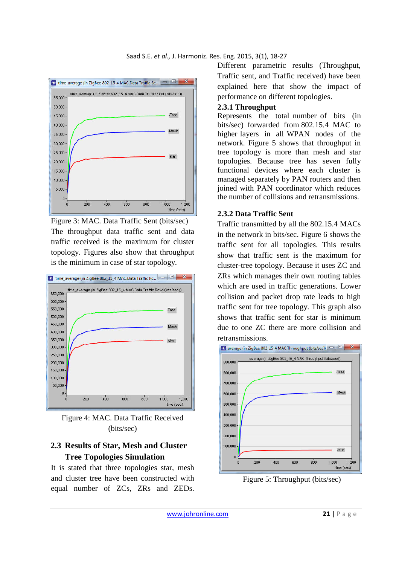#### Saad S.E. *et al.,* J. Harmoniz. Res. Eng. 2015, 3(1), 18-27



Figure 3: MAC. Data Traffic Sent (bits/sec) The throughput data traffic sent and data traffic received is the maximum for cluster topology. Figures also show that throughput is the minimum in case of star topology.





# **2.3 Results of Star, Mesh and Cluster Tree Topologies Simulation**

It is stated that three topologies star, mesh and cluster tree have been constructed with equal number of ZCs, ZRs and ZEDs. Different parametric results (Throughput, Traffic sent, and Traffic received) have been explained here that show the impact of performance on different topologies.

### **2.3.1 Throughput**

Represents the total number of bits (in bits/sec) forwarded from 802.15.4 MAC to higher layers in all WPAN nodes of the network. Figure 5 shows that throughput in tree topology is more than mesh and star topologies. Because tree has seven fully functional devices where each cluster is managed separately by PAN routers and then joined with PAN coordinator which reduces the number of collisions and retransmissions.

## **2.3.2 Data Traffic Sent**

Traffic transmitted by all the 802.15.4 MACs in the network in bits/sec. Figure 6 shows the traffic sent for all topologies. This results show that traffic sent is the maximum for cluster-tree topology. Because it uses ZC and ZRs which manages their own routing tables which are used in traffic generations. Lower collision and packet drop rate leads to high traffic sent for tree topology. This graph also shows that traffic sent for star is minimum due to one ZC there are more collision and retransmissions.



Figure 5: Throughput (bits/sec)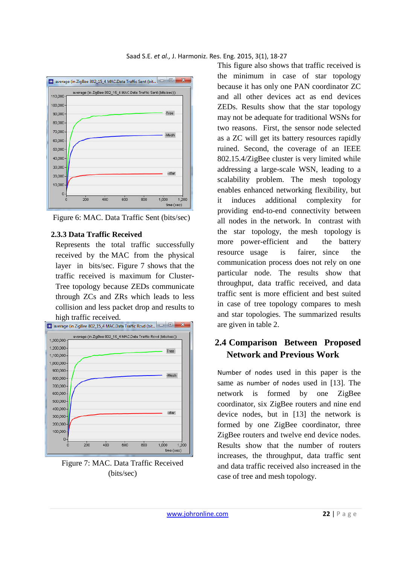



Figure 6: MAC. Data Traffic Sent (bits/sec)

## **2.3.3 Data Traffic Received**

Represents the total traffic successfully received by the MAC from the physical layer in bits/sec. Figure 7 shows that the traffic received is maximum for Cluster-Tree topology because ZEDs communicate through ZCs and ZRs which leads to less collision and less packet drop and results to



Figure 7: MAC. Data Traffic Received (bits/sec)

This figure also shows that traffic received is the minimum in case of star topology because it has only one PAN coordinator ZC and all other devices act as end devices ZEDs. Results show that the star topology may not be adequate for traditional WSNs for two reasons. First, the sensor node selected as a ZC will get its battery resources rapidly ruined. Second, the coverage of an IEEE 802.15.4/ZigBee cluster is very limited while addressing a large-scale WSN, leading to a scalability problem. The mesh topology enables enhanced networking flexibility, but it induces additional complexity for providing end-to-end connectivity between all nodes in the network. In contrast with the star topology, the mesh topology is more power-efficient and the battery resource usage is fairer, since the communication process does not rely on one particular node. The results show that throughput, data traffic received, and data traffic sent is more efficient and best suited in case of tree topology compares to mesh and star topologies. The summarized results are given in table 2.

# **2.4 Comparison Between Proposed Network and Previous Work**

Number of nodes used in this paper is the same as number of nodes used in [13]. The network is formed by one ZigBee coordinator, six ZigBee routers and nine end device nodes, but in [13] the network is formed by one ZigBee coordinator, three ZigBee routers and twelve end device nodes. Results show that the number of routers increases, the throughput, data traffic sent and data traffic received also increased in the case of tree and mesh topology.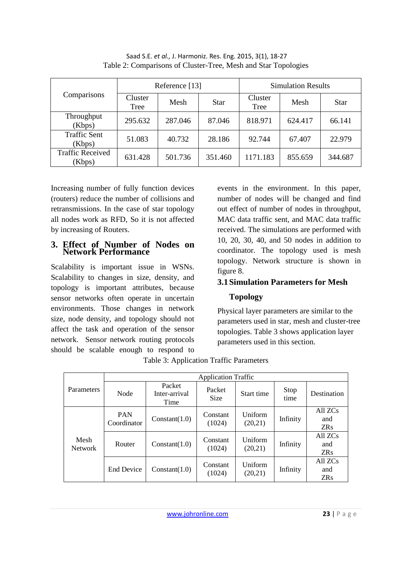|                                   | Reference [13]  |         |             | <b>Simulation Results</b> |         |             |
|-----------------------------------|-----------------|---------|-------------|---------------------------|---------|-------------|
| Comparisons                       | Cluster<br>Tree | Mesh    | <b>Star</b> | Cluster<br>Tree           | Mesh    | <b>Star</b> |
| Throughput<br>(Kbps)              | 295.632         | 287.046 | 87.046      | 818.971                   | 624.417 | 66.141      |
| <b>Traffic Sent</b><br>(Kbps)     | 51.083          | 40.732  | 28.186      | 92.744                    | 67.407  | 22.979      |
| <b>Traffic Received</b><br>(Kbps) | 631.428         | 501.736 | 351.460     | 1171.183                  | 855.659 | 344.687     |

 Saad S.E. *et al.,* J. Harmoniz. Res. Eng. 2015, 3(1), 18-27 Table 2: Comparisons of Cluster-Tree, Mesh and Star Topologies

Increasing number of fully function devices (routers) reduce the number of collisions and retransmissions. In the case of star topology all nodes work as RFD, So it is not affected by increasing of Routers.

#### **3. Effect of Number of Nodes on Network Performance**

Scalability is important issue in WSNs. Scalability to changes in size, density, and topology is important attributes, because sensor networks often operate in uncertain environments. Those changes in network size, node density, and topology should not affect the task and operation of the sensor network. Sensor network routing protocols should be scalable enough to respond to

events in the environment. In this paper, number of nodes will be changed and find out effect of number of nodes in throughput, MAC data traffic sent, and MAC data traffic received. The simulations are performed with 10, 20, 30, 40, and 50 nodes in addition to coordinator. The topology used is mesh topology. Network structure is shown in figure 8.

# **3.1Simulation Parameters for Mesh**

# **Topology**

Physical layer parameters are similar to the parameters used in star, mesh and cluster-tree topologies. Table 3 shows application layer parameters used in this section.

|                        | <b>Application Traffic</b> |                                 |                       |                    |              |                                   |  |
|------------------------|----------------------------|---------------------------------|-----------------------|--------------------|--------------|-----------------------------------|--|
| <b>Parameters</b>      | Node                       | Packet<br>Inter-arrival<br>Time | Packet<br><b>Size</b> | Start time         | Stop<br>time | Destination                       |  |
| Mesh<br><b>Network</b> | <b>PAN</b><br>Coordinator  | Constant(1.0)                   | Constant<br>(1024)    | Uniform<br>(20,21) | Infinity     | All ZCs<br>and<br>ZR <sub>S</sub> |  |
|                        | Router                     | Constant(1.0)                   | Constant<br>(1024)    | Uniform<br>(20,21) | Infinity     | All ZCs<br>and<br>ZR <sub>S</sub> |  |
|                        | End Device                 | Constant(1.0)                   | Constant<br>(1024)    | Uniform<br>(20,21) | Infinity     | All ZCs<br>and<br>ZR <sub>S</sub> |  |

|  | Table 3: Application Traffic Parameters |  |
|--|-----------------------------------------|--|
|  |                                         |  |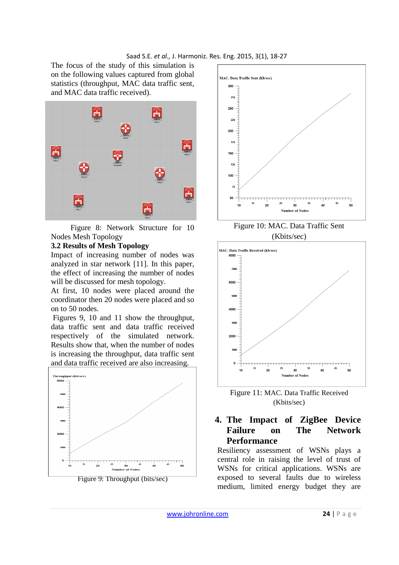#### Saad S.E. *et al.,* J. Harmoniz. Res. Eng. 2015, 3(1), 18-27

The focus of the study of this simulation is on the following values captured from global statistics (throughput, MAC data traffic sent, and MAC data traffic received).



 Figure 8: Network Structure for 10 Nodes Mesh Topology

#### **3.2 Results of Mesh Topology**

Impact of increasing number of nodes was analyzed in star network [11]. In this paper, the effect of increasing the number of nodes will be discussed for mesh topology.

At first, 10 nodes were placed around the coordinator then 20 nodes were placed and so on to 50 nodes.

 Figures 9, 10 and 11 show the throughput, data traffic sent and data traffic received respectively of the simulated network. Results show that, when the number of nodes is increasing the throughput, data traffic sent and data traffic received are also increasing.



Figure 9: Throughput (bits/sec)



#### Figure 10: MAC. Data Traffic Sent (Kbits/sec)



Figure 11: MAC. Data Traffic Received (Kbits/sec)

# **4. The Impact of ZigBee Device Failure on The Network Performance**

Resiliency assessment of WSNs plays a central role in raising the level of trust of WSNs for critical applications. WSNs are exposed to several faults due to wireless medium, limited energy budget they are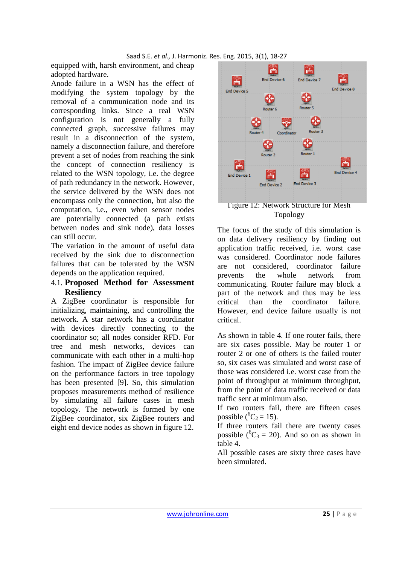equipped with, harsh environment, and cheap adopted hardware.

Anode failure in a WSN has the effect of modifying the system topology by the removal of a communication node and its corresponding links. Since a real WSN configuration is not generally a fully connected graph, successive failures may result in a disconnection of the system, namely a disconnection failure, and therefore prevent a set of nodes from reaching the sink the concept of connection resiliency is related to the WSN topology, i.e. the degree of path redundancy in the network. However, the service delivered by the WSN does not encompass only the connection, but also the computation, i.e., even when sensor nodes are potentially connected (a path exists between nodes and sink node), data losses can still occur.

The variation in the amount of useful data received by the sink due to disconnection failures that can be tolerated by the WSN depends on the application required.

### 4.1. **Proposed Method for Assessment Resiliency**

A ZigBee coordinator is responsible for initializing, maintaining, and controlling the network. A star network has a coordinator with devices directly connecting to the coordinator so; all nodes consider RFD. For tree and mesh networks, devices can communicate with each other in a multi-hop fashion. The impact of ZigBee device failure on the performance factors in tree topology has been presented [9]. So, this simulation proposes measurements method of resilience by simulating all failure cases in mesh topology. The network is formed by one ZigBee coordinator, six ZigBee routers and eight end device nodes as shown in figure 12.



Figure 12: Network Structure for Mesh Topology

The focus of the study of this simulation is on data delivery resiliency by finding out application traffic received, i.e. worst case was considered. Coordinator node failures are not considered, coordinator failure prevents the whole network from communicating. Router failure may block a part of the network and thus may be less critical than the coordinator failure. However, end device failure usually is not critical.

As shown in table 4. If one router fails, there are six cases possible. May be router 1 or router 2 or one of others is the failed router so, six cases was simulated and worst case of those was considered i.e. worst case from the point of throughput at minimum throughput, from the point of data traffic received or data traffic sent at minimum also.

If two routers fail, there are fifteen cases possible ( ${}^{6}C_{2} = 15$ ).

If three routers fail there are twenty cases possible ( ${}^{6}C_{3} = 20$ ). And so on as shown in table 4.

All possible cases are sixty three cases have been simulated.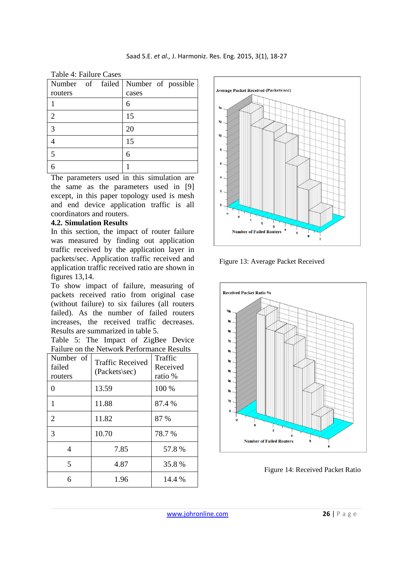| Table 4: Failure Cases              |       |
|-------------------------------------|-------|
| Number of failed Number of possible |       |
| routers                             | cases |
|                                     | 6     |
| 2                                   | 15    |
| 3                                   | 20    |
|                                     | 15    |
| $\overline{\mathcal{L}}$            | 6     |
|                                     |       |

Table 4: Failure Cases

The parameters used in this simulation are the same as the parameters used in [9] except, in this paper topology used is mesh and end device application traffic is all coordinators and routers.

### **4.2. Simulation Results**

In this section, the impact of router failure was measured by finding out application traffic received by the application layer in packets/sec. Application traffic received and application traffic received ratio are shown in figures 13,14.

To show impact of failure, measuring of packets received ratio from original case (without failure) to six failures (all routers failed). As the number of failed routers increases, the received traffic decreases. Results are summarized in table 5.

| Table 5: The Impact of ZigBee Device       |  |  |  |
|--------------------------------------------|--|--|--|
| Failure on the Network Performance Results |  |  |  |

| Number of<br>failed<br>routers | <b>Traffic Received</b><br>(Packets\sec) | Traffic<br>Received<br>ratio % |  |
|--------------------------------|------------------------------------------|--------------------------------|--|
| 0                              | 13.59                                    | 100 %                          |  |
| 1                              | 11.88                                    | 87.4 %                         |  |
| $\overline{2}$                 | 11.82                                    | 87 %                           |  |
| 3                              | 10.70                                    | 78.7%                          |  |
| 4                              | 7.85                                     | 57.8%                          |  |
| 5                              | 4.87                                     | 35.8 %                         |  |
| 6                              | 1.96                                     | 14.4 %                         |  |



Figure 13: Average Packet Received



Figure 14: Received Packet Ratio